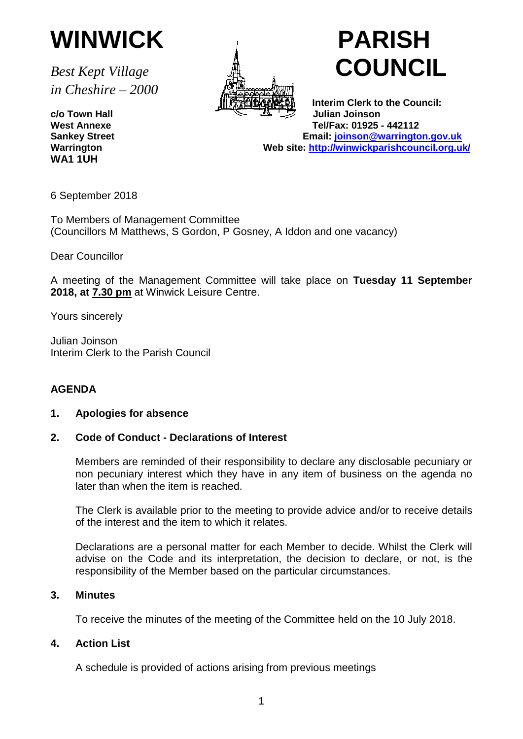

*in Cheshire – 2000*

**WA1 1UH**



# *Best Kept Village* **COUNCIL**

 **Interim Clerk to the Council: c/o Town Hall** العليه المستقطعة المستقطعة المستقطعة المستقطعة المستقطعة المستقطعة المستقطعة المستقطعة المستقطعة<br>بـ Tel/Fax: 01925 **West Annexe Tel/Fax: 01925 - 442112 Sankey Street Email: [joinson@warrington.gov.uk](mailto:joinson@warrington.gov.uk)** Web site:<http://winwickparishcouncil.org.uk/>

6 September 2018

To Members of Management Committee (Councillors M Matthews, S Gordon, P Gosney, A Iddon and one vacancy)

Dear Councillor

A meeting of the Management Committee will take place on **Tuesday 11 September 2018, at 7.30 pm** at Winwick Leisure Centre.

Yours sincerely

Julian Joinson Interim Clerk to the Parish Council

#### **AGENDA**

#### **1. Apologies for absence**

#### **2. Code of Conduct - Declarations of Interest**

Members are reminded of their responsibility to declare any disclosable pecuniary or non pecuniary interest which they have in any item of business on the agenda no later than when the item is reached.

The Clerk is available prior to the meeting to provide advice and/or to receive details of the interest and the item to which it relates.

Declarations are a personal matter for each Member to decide. Whilst the Clerk will advise on the Code and its interpretation, the decision to declare, or not, is the responsibility of the Member based on the particular circumstances.

#### **3. Minutes**

To receive the minutes of the meeting of the Committee held on the 10 July 2018.

#### **4. Action List**

A schedule is provided of actions arising from previous meetings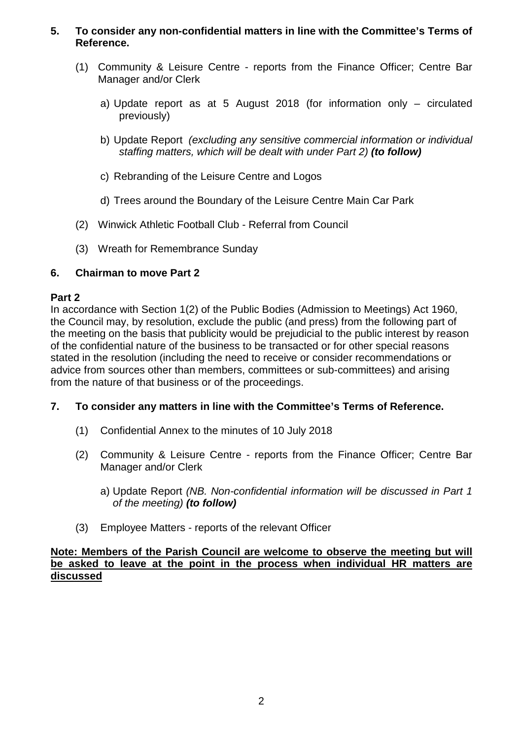#### **5. To consider any non-confidential matters in line with the Committee's Terms of Reference.**

- (1) Community & Leisure Centre reports from the Finance Officer; Centre Bar Manager and/or Clerk
	- a) Update report as at 5 August 2018 (for information only circulated previously)
	- b) Update Report *(excluding any sensitive commercial information or individual staffing matters, which will be dealt with under Part 2) (to follow)*
	- c) Rebranding of the Leisure Centre and Logos
	- d) Trees around the Boundary of the Leisure Centre Main Car Park
- (2) Winwick Athletic Football Club Referral from Council
- (3) Wreath for Remembrance Sunday

#### **6. Chairman to move Part 2**

#### **Part 2**

In accordance with Section 1(2) of the Public Bodies (Admission to Meetings) Act 1960, the Council may, by resolution, exclude the public (and press) from the following part of the meeting on the basis that publicity would be prejudicial to the public interest by reason of the confidential nature of the business to be transacted or for other special reasons stated in the resolution (including the need to receive or consider recommendations or advice from sources other than members, committees or sub-committees) and arising from the nature of that business or of the proceedings.

#### **7. To consider any matters in line with the Committee's Terms of Reference.**

- (1) Confidential Annex to the minutes of 10 July 2018
- (2) Community & Leisure Centre reports from the Finance Officer; Centre Bar Manager and/or Clerk
	- a) Update Report *(NB. Non-confidential information will be discussed in Part 1 of the meeting) (to follow)*
- (3) Employee Matters reports of the relevant Officer

#### **Note: Members of the Parish Council are welcome to observe the meeting but will be asked to leave at the point in the process when individual HR matters are discussed**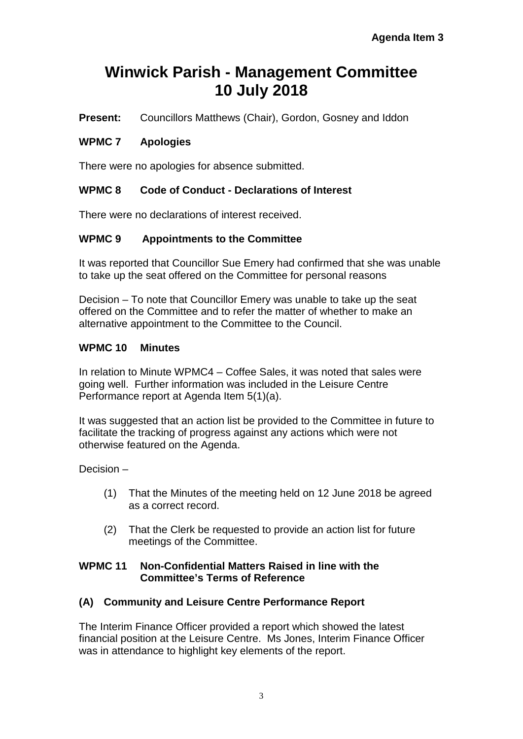#### **Winwick Parish - Management Committee 10 July 2018**

**Present:** Councillors Matthews (Chair), Gordon, Gosney and Iddon

#### **WPMC 7 Apologies**

There were no apologies for absence submitted.

#### **WPMC 8 Code of Conduct - Declarations of Interest**

There were no declarations of interest received.

#### **WPMC 9 Appointments to the Committee**

It was reported that Councillor Sue Emery had confirmed that she was unable to take up the seat offered on the Committee for personal reasons

Decision – To note that Councillor Emery was unable to take up the seat offered on the Committee and to refer the matter of whether to make an alternative appointment to the Committee to the Council.

#### **WPMC 10 Minutes**

In relation to Minute WPMC4 – Coffee Sales, it was noted that sales were going well. Further information was included in the Leisure Centre Performance report at Agenda Item 5(1)(a).

It was suggested that an action list be provided to the Committee in future to facilitate the tracking of progress against any actions which were not otherwise featured on the Agenda.

Decision –

- (1) That the Minutes of the meeting held on 12 June 2018 be agreed as a correct record.
- (2) That the Clerk be requested to provide an action list for future meetings of the Committee.

#### **WPMC 11 Non-Confidential Matters Raised in line with the Committee's Terms of Reference**

#### **(A) Community and Leisure Centre Performance Report**

The Interim Finance Officer provided a report which showed the latest financial position at the Leisure Centre. Ms Jones, Interim Finance Officer was in attendance to highlight key elements of the report.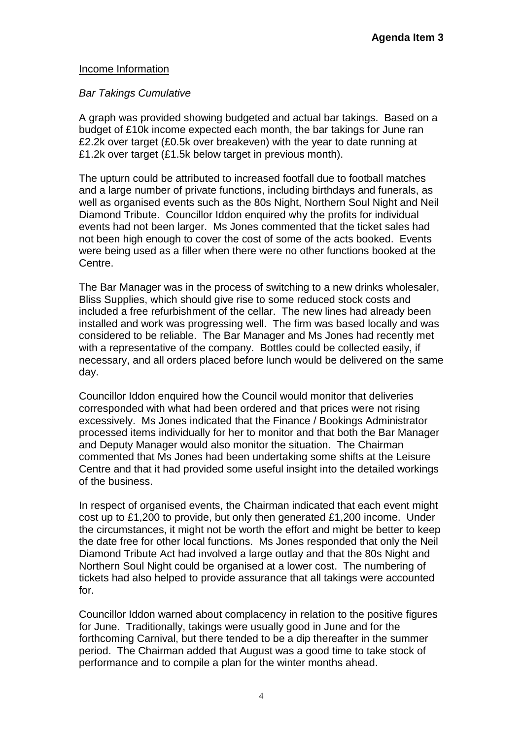#### Income Information

#### *Bar Takings Cumulative*

A graph was provided showing budgeted and actual bar takings. Based on a budget of £10k income expected each month, the bar takings for June ran £2.2k over target (£0.5k over breakeven) with the year to date running at £1.2k over target (£1.5k below target in previous month).

The upturn could be attributed to increased footfall due to football matches and a large number of private functions, including birthdays and funerals, as well as organised events such as the 80s Night, Northern Soul Night and Neil Diamond Tribute. Councillor Iddon enquired why the profits for individual events had not been larger. Ms Jones commented that the ticket sales had not been high enough to cover the cost of some of the acts booked. Events were being used as a filler when there were no other functions booked at the Centre.

The Bar Manager was in the process of switching to a new drinks wholesaler, Bliss Supplies, which should give rise to some reduced stock costs and included a free refurbishment of the cellar. The new lines had already been installed and work was progressing well. The firm was based locally and was considered to be reliable. The Bar Manager and Ms Jones had recently met with a representative of the company. Bottles could be collected easily, if necessary, and all orders placed before lunch would be delivered on the same day.

Councillor Iddon enquired how the Council would monitor that deliveries corresponded with what had been ordered and that prices were not rising excessively. Ms Jones indicated that the Finance / Bookings Administrator processed items individually for her to monitor and that both the Bar Manager and Deputy Manager would also monitor the situation. The Chairman commented that Ms Jones had been undertaking some shifts at the Leisure Centre and that it had provided some useful insight into the detailed workings of the business.

In respect of organised events, the Chairman indicated that each event might cost up to £1,200 to provide, but only then generated £1,200 income. Under the circumstances, it might not be worth the effort and might be better to keep the date free for other local functions. Ms Jones responded that only the Neil Diamond Tribute Act had involved a large outlay and that the 80s Night and Northern Soul Night could be organised at a lower cost. The numbering of tickets had also helped to provide assurance that all takings were accounted for.

Councillor Iddon warned about complacency in relation to the positive figures for June. Traditionally, takings were usually good in June and for the forthcoming Carnival, but there tended to be a dip thereafter in the summer period. The Chairman added that August was a good time to take stock of performance and to compile a plan for the winter months ahead.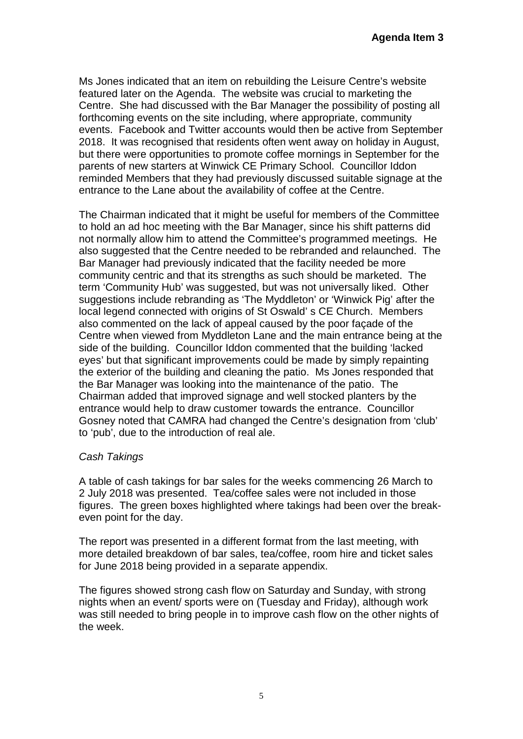Ms Jones indicated that an item on rebuilding the Leisure Centre's website featured later on the Agenda. The website was crucial to marketing the Centre. She had discussed with the Bar Manager the possibility of posting all forthcoming events on the site including, where appropriate, community events. Facebook and Twitter accounts would then be active from September 2018. It was recognised that residents often went away on holiday in August, but there were opportunities to promote coffee mornings in September for the parents of new starters at Winwick CE Primary School. Councillor Iddon reminded Members that they had previously discussed suitable signage at the entrance to the Lane about the availability of coffee at the Centre.

The Chairman indicated that it might be useful for members of the Committee to hold an ad hoc meeting with the Bar Manager, since his shift patterns did not normally allow him to attend the Committee's programmed meetings. He also suggested that the Centre needed to be rebranded and relaunched. The Bar Manager had previously indicated that the facility needed be more community centric and that its strengths as such should be marketed. The term 'Community Hub' was suggested, but was not universally liked. Other suggestions include rebranding as 'The Myddleton' or 'Winwick Pig' after the local legend connected with origins of St Oswald' s CE Church. Members also commented on the lack of appeal caused by the poor façade of the Centre when viewed from Myddleton Lane and the main entrance being at the side of the building. Councillor Iddon commented that the building 'lacked eyes' but that significant improvements could be made by simply repainting the exterior of the building and cleaning the patio. Ms Jones responded that the Bar Manager was looking into the maintenance of the patio. The Chairman added that improved signage and well stocked planters by the entrance would help to draw customer towards the entrance. Councillor Gosney noted that CAMRA had changed the Centre's designation from 'club' to 'pub', due to the introduction of real ale.

#### *Cash Takings*

A table of cash takings for bar sales for the weeks commencing 26 March to 2 July 2018 was presented. Tea/coffee sales were not included in those figures. The green boxes highlighted where takings had been over the breakeven point for the day.

The report was presented in a different format from the last meeting, with more detailed breakdown of bar sales, tea/coffee, room hire and ticket sales for June 2018 being provided in a separate appendix.

The figures showed strong cash flow on Saturday and Sunday, with strong nights when an event/ sports were on (Tuesday and Friday), although work was still needed to bring people in to improve cash flow on the other nights of the week.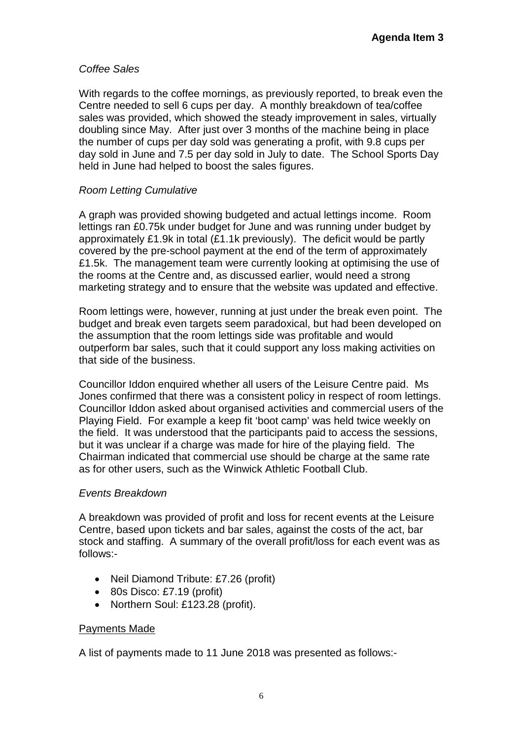#### *Coffee Sales*

With regards to the coffee mornings, as previously reported, to break even the Centre needed to sell 6 cups per day. A monthly breakdown of tea/coffee sales was provided, which showed the steady improvement in sales, virtually doubling since May. After just over 3 months of the machine being in place the number of cups per day sold was generating a profit, with 9.8 cups per day sold in June and 7.5 per day sold in July to date. The School Sports Day held in June had helped to boost the sales figures.

#### *Room Letting Cumulative*

A graph was provided showing budgeted and actual lettings income. Room lettings ran £0.75k under budget for June and was running under budget by approximately £1.9k in total (£1.1k previously). The deficit would be partly covered by the pre-school payment at the end of the term of approximately £1.5k. The management team were currently looking at optimising the use of the rooms at the Centre and, as discussed earlier, would need a strong marketing strategy and to ensure that the website was updated and effective.

Room lettings were, however, running at just under the break even point. The budget and break even targets seem paradoxical, but had been developed on the assumption that the room lettings side was profitable and would outperform bar sales, such that it could support any loss making activities on that side of the business.

Councillor Iddon enquired whether all users of the Leisure Centre paid. Ms Jones confirmed that there was a consistent policy in respect of room lettings. Councillor Iddon asked about organised activities and commercial users of the Playing Field. For example a keep fit 'boot camp' was held twice weekly on the field. It was understood that the participants paid to access the sessions, but it was unclear if a charge was made for hire of the playing field. The Chairman indicated that commercial use should be charge at the same rate as for other users, such as the Winwick Athletic Football Club.

#### *Events Breakdown*

A breakdown was provided of profit and loss for recent events at the Leisure Centre, based upon tickets and bar sales, against the costs of the act, bar stock and staffing. A summary of the overall profit/loss for each event was as follows:-

- Neil Diamond Tribute: £7.26 (profit)
- 80s Disco: £7.19 (profit)
- Northern Soul: £123.28 (profit).

#### Payments Made

A list of payments made to 11 June 2018 was presented as follows:-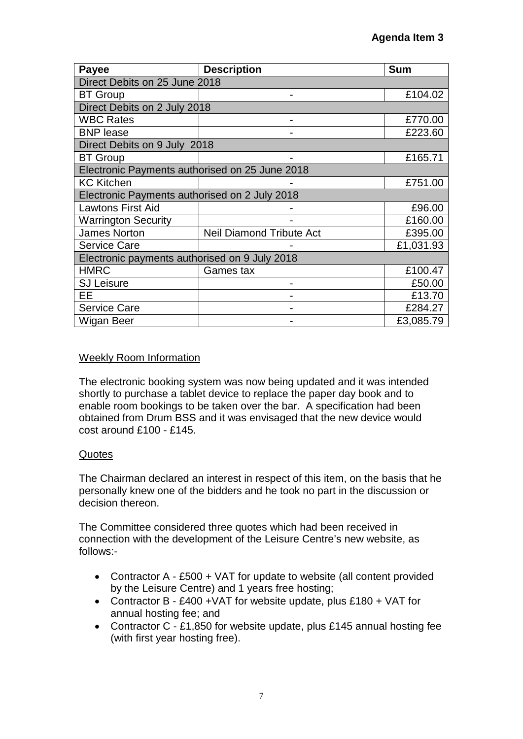| Payee                                          | <b>Description</b>              | <b>Sum</b> |  |  |  |  |  |  |
|------------------------------------------------|---------------------------------|------------|--|--|--|--|--|--|
| Direct Debits on 25 June 2018                  |                                 |            |  |  |  |  |  |  |
| <b>BT Group</b>                                |                                 | £104.02    |  |  |  |  |  |  |
|                                                | Direct Debits on 2 July 2018    |            |  |  |  |  |  |  |
| <b>WBC Rates</b>                               |                                 | £770.00    |  |  |  |  |  |  |
| <b>BNP</b> lease                               |                                 | £223.60    |  |  |  |  |  |  |
| Direct Debits on 9 July 2018                   |                                 |            |  |  |  |  |  |  |
| <b>BT</b> Group                                |                                 | £165.71    |  |  |  |  |  |  |
| Electronic Payments authorised on 25 June 2018 |                                 |            |  |  |  |  |  |  |
| <b>KC Kitchen</b>                              |                                 | £751.00    |  |  |  |  |  |  |
| Electronic Payments authorised on 2 July 2018  |                                 |            |  |  |  |  |  |  |
| <b>Lawtons First Aid</b>                       |                                 | £96.00     |  |  |  |  |  |  |
| <b>Warrington Security</b>                     |                                 | £160.00    |  |  |  |  |  |  |
| <b>James Norton</b>                            | <b>Neil Diamond Tribute Act</b> | £395.00    |  |  |  |  |  |  |
| <b>Service Care</b>                            |                                 | £1,031.93  |  |  |  |  |  |  |
| Electronic payments authorised on 9 July 2018  |                                 |            |  |  |  |  |  |  |
| <b>HMRC</b>                                    | Games tax                       | £100.47    |  |  |  |  |  |  |
| <b>SJ Leisure</b>                              |                                 | £50.00     |  |  |  |  |  |  |
| EЕ                                             |                                 | £13.70     |  |  |  |  |  |  |
| <b>Service Care</b>                            |                                 | £284.27    |  |  |  |  |  |  |
| Wigan Beer                                     |                                 | £3,085.79  |  |  |  |  |  |  |

#### Weekly Room Information

The electronic booking system was now being updated and it was intended shortly to purchase a tablet device to replace the paper day book and to enable room bookings to be taken over the bar. A specification had been obtained from Drum BSS and it was envisaged that the new device would cost around £100 - £145.

#### **Quotes**

The Chairman declared an interest in respect of this item, on the basis that he personally knew one of the bidders and he took no part in the discussion or decision thereon.

The Committee considered three quotes which had been received in connection with the development of the Leisure Centre's new website, as follows:-

- Contractor A £500 + VAT for update to website (all content provided by the Leisure Centre) and 1 years free hosting;
- Contractor B £400 +VAT for website update, plus £180 + VAT for annual hosting fee; and
- Contractor C £1,850 for website update, plus £145 annual hosting fee (with first year hosting free).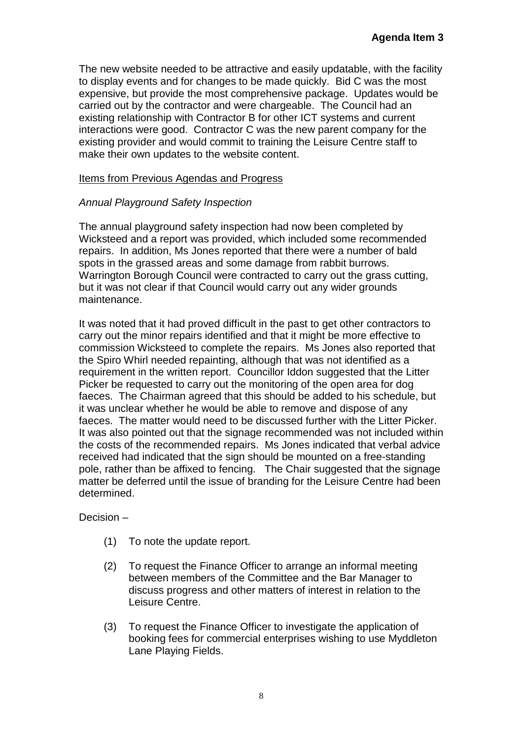The new website needed to be attractive and easily updatable, with the facility to display events and for changes to be made quickly. Bid C was the most expensive, but provide the most comprehensive package. Updates would be carried out by the contractor and were chargeable. The Council had an existing relationship with Contractor B for other ICT systems and current interactions were good. Contractor C was the new parent company for the existing provider and would commit to training the Leisure Centre staff to make their own updates to the website content.

#### Items from Previous Agendas and Progress

#### *Annual Playground Safety Inspection*

The annual playground safety inspection had now been completed by Wicksteed and a report was provided, which included some recommended repairs. In addition, Ms Jones reported that there were a number of bald spots in the grassed areas and some damage from rabbit burrows. Warrington Borough Council were contracted to carry out the grass cutting. but it was not clear if that Council would carry out any wider grounds maintenance.

It was noted that it had proved difficult in the past to get other contractors to carry out the minor repairs identified and that it might be more effective to commission Wicksteed to complete the repairs. Ms Jones also reported that the Spiro Whirl needed repainting, although that was not identified as a requirement in the written report. Councillor Iddon suggested that the Litter Picker be requested to carry out the monitoring of the open area for dog faeces. The Chairman agreed that this should be added to his schedule, but it was unclear whether he would be able to remove and dispose of any faeces. The matter would need to be discussed further with the Litter Picker. It was also pointed out that the signage recommended was not included within the costs of the recommended repairs. Ms Jones indicated that verbal advice received had indicated that the sign should be mounted on a free-standing pole, rather than be affixed to fencing. The Chair suggested that the signage matter be deferred until the issue of branding for the Leisure Centre had been determined.

Decision –

- (1) To note the update report.
- (2) To request the Finance Officer to arrange an informal meeting between members of the Committee and the Bar Manager to discuss progress and other matters of interest in relation to the Leisure Centre.
- (3) To request the Finance Officer to investigate the application of booking fees for commercial enterprises wishing to use Myddleton Lane Playing Fields.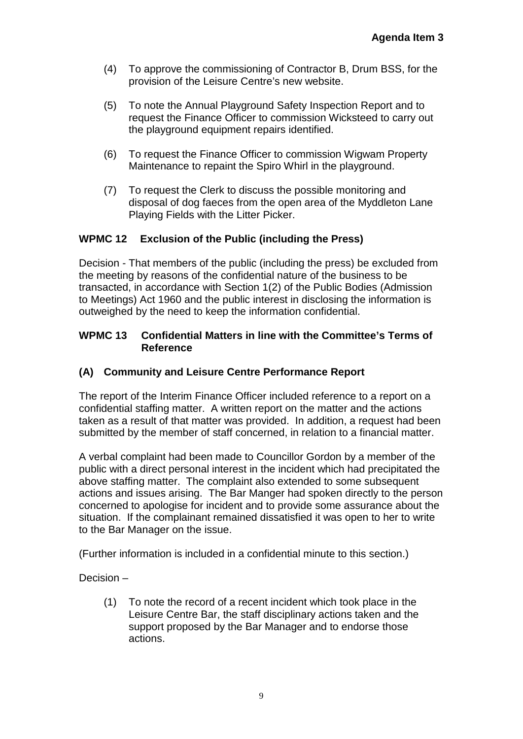- (4) To approve the commissioning of Contractor B, Drum BSS, for the provision of the Leisure Centre's new website.
- (5) To note the Annual Playground Safety Inspection Report and to request the Finance Officer to commission Wicksteed to carry out the playground equipment repairs identified.
- (6) To request the Finance Officer to commission Wigwam Property Maintenance to repaint the Spiro Whirl in the playground.
- (7) To request the Clerk to discuss the possible monitoring and disposal of dog faeces from the open area of the Myddleton Lane Playing Fields with the Litter Picker.

#### **WPMC 12 Exclusion of the Public (including the Press)**

Decision - That members of the public (including the press) be excluded from the meeting by reasons of the confidential nature of the business to be transacted, in accordance with Section 1(2) of the Public Bodies (Admission to Meetings) Act 1960 and the public interest in disclosing the information is outweighed by the need to keep the information confidential.

#### **WPMC 13 Confidential Matters in line with the Committee's Terms of Reference**

#### **(A) Community and Leisure Centre Performance Report**

The report of the Interim Finance Officer included reference to a report on a confidential staffing matter. A written report on the matter and the actions taken as a result of that matter was provided. In addition, a request had been submitted by the member of staff concerned, in relation to a financial matter.

A verbal complaint had been made to Councillor Gordon by a member of the public with a direct personal interest in the incident which had precipitated the above staffing matter. The complaint also extended to some subsequent actions and issues arising. The Bar Manger had spoken directly to the person concerned to apologise for incident and to provide some assurance about the situation. If the complainant remained dissatisfied it was open to her to write to the Bar Manager on the issue.

(Further information is included in a confidential minute to this section.)

Decision –

(1) To note the record of a recent incident which took place in the Leisure Centre Bar, the staff disciplinary actions taken and the support proposed by the Bar Manager and to endorse those actions.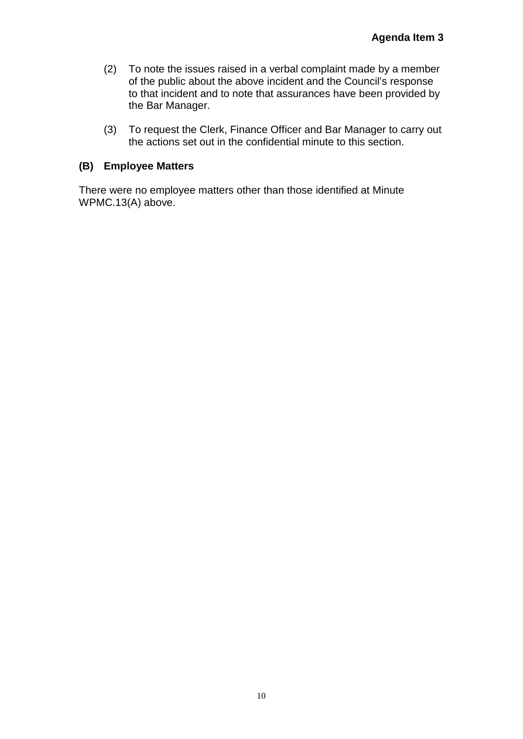- (2) To note the issues raised in a verbal complaint made by a member of the public about the above incident and the Council's response to that incident and to note that assurances have been provided by the Bar Manager.
- (3) To request the Clerk, Finance Officer and Bar Manager to carry out the actions set out in the confidential minute to this section.

#### **(B) Employee Matters**

There were no employee matters other than those identified at Minute WPMC.13(A) above.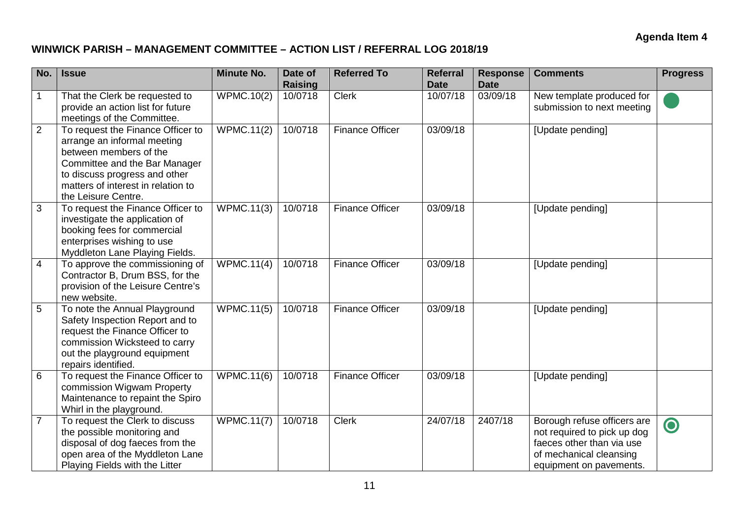#### **WINWICK PARISH – MANAGEMENT COMMITTEE – ACTION LIST / REFERRAL LOG 2018/19**

| No.            | <b>Issue</b>                                                                                                                                                                                                              | <b>Minute No.</b>               | Date of<br>Raising | <b>Referred To</b>     | <b>Referral</b><br><b>Date</b> | <b>Response</b><br><b>Date</b> | <b>Comments</b>                                                                                                                               | <b>Progress</b> |
|----------------|---------------------------------------------------------------------------------------------------------------------------------------------------------------------------------------------------------------------------|---------------------------------|--------------------|------------------------|--------------------------------|--------------------------------|-----------------------------------------------------------------------------------------------------------------------------------------------|-----------------|
| $\mathbf 1$    | That the Clerk be requested to<br>provide an action list for future<br>meetings of the Committee.                                                                                                                         | <b>WPMC.10(2)</b>               | 10/0718            | <b>Clerk</b>           | 10/07/18                       | 03/09/18                       | New template produced for<br>submission to next meeting                                                                                       |                 |
| $\overline{2}$ | To request the Finance Officer to<br>arrange an informal meeting<br>between members of the<br>Committee and the Bar Manager<br>to discuss progress and other<br>matters of interest in relation to<br>the Leisure Centre. | <b>WPMC.11(2)</b>               | 10/0718            | <b>Finance Officer</b> | 03/09/18                       |                                | [Update pending]                                                                                                                              |                 |
| 3              | To request the Finance Officer to<br>investigate the application of<br>booking fees for commercial<br>enterprises wishing to use<br>Myddleton Lane Playing Fields.                                                        | <b>WPMC.11(3)</b>               | 10/0718            | <b>Finance Officer</b> | 03/09/18                       |                                | [Update pending]                                                                                                                              |                 |
| $\overline{4}$ | To approve the commissioning of<br>Contractor B, Drum BSS, for the<br>provision of the Leisure Centre's<br>new website.                                                                                                   | <b>WPMC.11(4)</b>               | 10/0718            | <b>Finance Officer</b> | 03/09/18                       |                                | [Update pending]                                                                                                                              |                 |
| 5              | To note the Annual Playground<br>Safety Inspection Report and to<br>request the Finance Officer to<br>commission Wicksteed to carry<br>out the playground equipment<br>repairs identified.                                | <b>WPMC.11(5)</b>               | 10/0718            | <b>Finance Officer</b> | 03/09/18                       |                                | [Update pending]                                                                                                                              |                 |
| 6              | To request the Finance Officer to<br>commission Wigwam Property<br>Maintenance to repaint the Spiro<br>Whirl in the playground.                                                                                           | <b>WPMC.11(6)</b>               | 10/0718            | <b>Finance Officer</b> | 03/09/18                       |                                | [Update pending]                                                                                                                              |                 |
| $\overline{7}$ | To request the Clerk to discuss<br>the possible monitoring and<br>disposal of dog faeces from the<br>open area of the Myddleton Lane<br>Playing Fields with the Litter                                                    | $\overline{\text{WPMC}}$ .11(7) | 10/0718            | <b>Clerk</b>           | 24/07/18                       | 2407/18                        | Borough refuse officers are<br>not required to pick up dog<br>faeces other than via use<br>of mechanical cleansing<br>equipment on pavements. | $\bullet$       |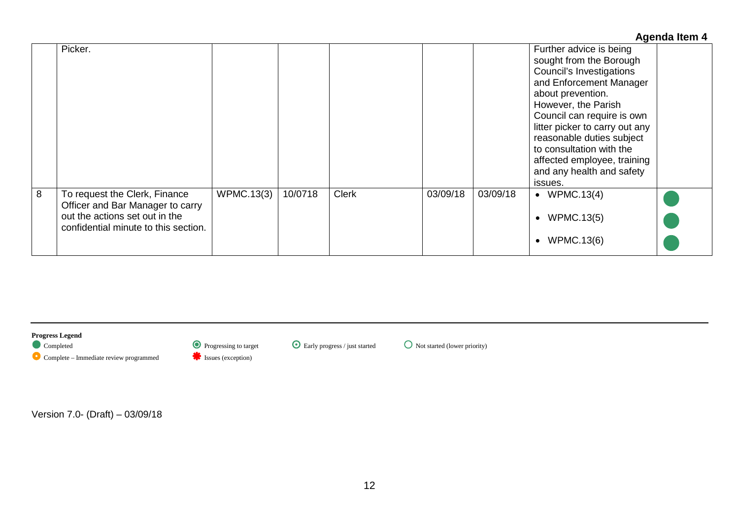|   |                                                                                                                                             |                   |         |              |          |          | <b>Agenda Item 4</b>                                                                                                                                                                                                                                                                                                                                  |
|---|---------------------------------------------------------------------------------------------------------------------------------------------|-------------------|---------|--------------|----------|----------|-------------------------------------------------------------------------------------------------------------------------------------------------------------------------------------------------------------------------------------------------------------------------------------------------------------------------------------------------------|
|   | Picker.                                                                                                                                     |                   |         |              |          |          | Further advice is being<br>sought from the Borough<br>Council's Investigations<br>and Enforcement Manager<br>about prevention.<br>However, the Parish<br>Council can require is own<br>litter picker to carry out any<br>reasonable duties subject<br>to consultation with the<br>affected employee, training<br>and any health and safety<br>issues. |
| 8 | To request the Clerk, Finance<br>Officer and Bar Manager to carry<br>out the actions set out in the<br>confidential minute to this section. | <b>WPMC.13(3)</b> | 10/0718 | <b>Clerk</b> | 03/09/18 | 03/09/18 | $\bullet$ WPMC.13(4)<br><b>WPMC.13(5)</b><br>$\bullet$<br><b>WPMC.13(6)</b><br>$\bullet$                                                                                                                                                                                                                                                              |

**Progress Legend** Complete – Immediate review programmed **ISSUES** Issues (exception)

 $\bullet$  Progressing to target  $\bullet$  Early progress / just started  $\bullet$  Not started (lower priority)

Version 7.0- (Draft) – 03/09/18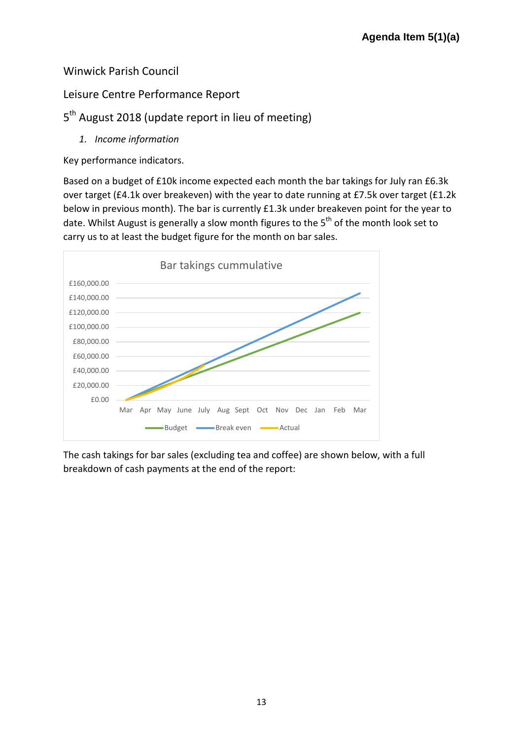#### Winwick Parish Council

#### Leisure Centre Performance Report

#### 5<sup>th</sup> August 2018 (update report in lieu of meeting)

*1. Income information*

Key performance indicators.

Based on a budget of £10k income expected each month the bar takings for July ran £6.3k over target (£4.1k over breakeven) with the year to date running at £7.5k over target (£1.2k below in previous month). The bar is currently £1.3k under breakeven point for the year to date. Whilst August is generally a slow month figures to the  $5<sup>th</sup>$  of the month look set to carry us to at least the budget figure for the month on bar sales.



The cash takings for bar sales (excluding tea and coffee) are shown below, with a full breakdown of cash payments at the end of the report: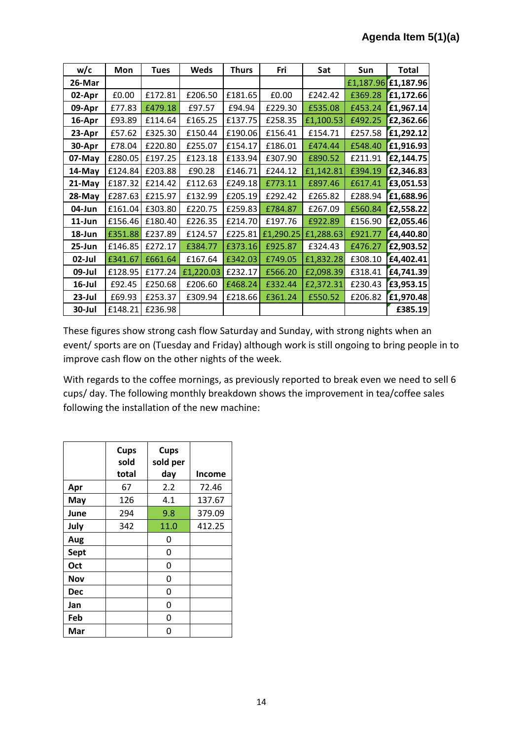| w/c       | Mon     | <b>Tues</b> | <b>Weds</b> | <b>Thurs</b> | Fri       | Sat       | <b>Sun</b> | <b>Total</b> |
|-----------|---------|-------------|-------------|--------------|-----------|-----------|------------|--------------|
| 26-Mar    |         |             |             |              |           |           | £1,187.96  | £1,187.96    |
| 02-Apr    | £0.00   | £172.81     | £206.50     | £181.65      | £0.00     | £242.42   | £369.28    | £1,172.66    |
| 09-Apr    | £77.83  | £479.18     | £97.57      | £94.94       | £229.30   | £535.08   | £453.24    | £1,967.14    |
| 16-Apr    | £93.89  | £114.64     | £165.25     | £137.75      | £258.35   | £1,100.53 | £492.25    | £2,362.66    |
| 23-Apr    | £57.62  | £325.30     | £150.44     | £190.06      | £156.41   | £154.71   | £257.58    | £1,292.12    |
| 30-Apr    | £78.04  | £220.80     | £255.07     | £154.17      | £186.01   | £474.44   | £548.40    | £1,916.93    |
| 07-May    | £280.05 | £197.25     | £123.18     | £133.94      | £307.90   | £890.52   | £211.91    | £2,144.75    |
| 14-May    | £124.84 | £203.88     | £90.28      | £146.71      | £244.12   | £1,142.81 | £394.19    | £2,346.83    |
| 21-May    | £187.32 | £214.42     | £112.63     | £249.18      | £773.11   | £897.46   | £617.41    | £3,051.53    |
| 28-May    | £287.63 | £215.97     | £132.99     | £205.19      | £292.42   | £265.82   | £288.94    | £1,688.96    |
| 04-Jun    | £161.04 | £303.80     | £220.75     | £259.83      | £784.87   | £267.09   | £560.84    | £2,558.22    |
| $11$ -Jun | £156.46 | £180.40     | £226.35     | £214.70      | £197.76   | £922.89   | £156.90    | £2,055.46    |
| 18-Jun    | £351.88 | £237.89     | £124.57     | £225.81      | £1,290.25 | £1,288.63 | £921.77    | £4,440.80    |
| 25-Jun    | £146.85 | £272.17     | £384.77     | £373.16      | £925.87   | £324.43   | £476.27    | £2,903.52    |
| 02-Jul    | £341.67 | £661.64     | £167.64     | £342.03      | £749.05   | £1,832.28 | £308.10    | £4,402.41    |
| 09-Jul    | £128.95 | £177.24     | £1,220.03   | £232.17      | £566.20   | £2,098.39 | £318.41    | £4,741.39    |
| $16$ -Jul | £92.45  | £250.68     | £206.60     | £468.24      | £332.44   | £2,372.31 | £230.43    | £3,953.15    |
| 23-Jul    | £69.93  | £253.37     | £309.94     | £218.66      | £361.24   | £550.52   | £206.82    | £1,970.48    |
| 30-Jul    | £148.21 | £236.98     |             |              |           |           |            | £385.19      |

These figures show strong cash flow Saturday and Sunday, with strong nights when an event/ sports are on (Tuesday and Friday) although work is still ongoing to bring people in to improve cash flow on the other nights of the week.

With regards to the coffee mornings, as previously reported to break even we need to sell 6 cups/ day. The following monthly breakdown shows the improvement in tea/coffee sales following the installation of the new machine:

|            | <b>Cups</b><br>sold<br>total | <b>Cups</b><br>sold per<br>day | <b>Income</b> |
|------------|------------------------------|--------------------------------|---------------|
| Apr        | 67                           | 2.2                            | 72.46         |
| May        | 126                          | 4.1                            | 137.67        |
| June       | 294                          | 9.8                            | 379.09        |
| July       | 342                          | 11.0                           | 412.25        |
| Aug        |                              | 0                              |               |
| Sept       |                              | 0                              |               |
| Oct        |                              | 0                              |               |
| Nov        |                              | 0                              |               |
| <b>Dec</b> |                              | 0                              |               |
| Jan        |                              | 0                              |               |
| Feb        |                              | 0                              |               |
| Mar        |                              | ი                              |               |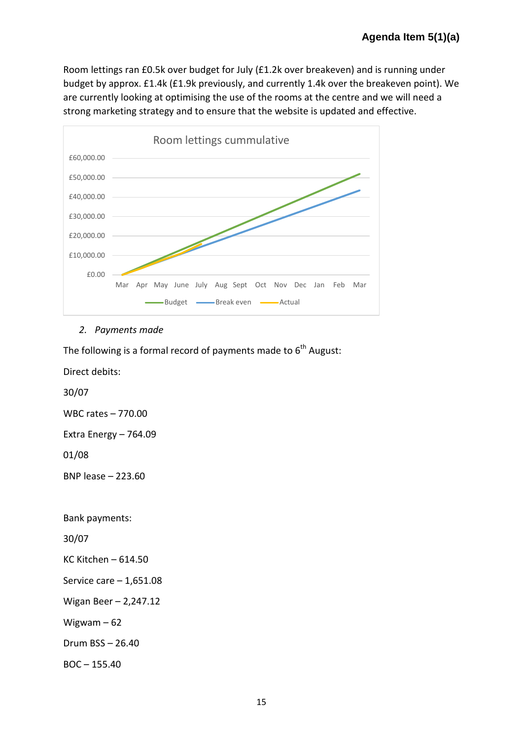Room lettings ran £0.5k over budget for July (£1.2k over breakeven) and is running under budget by approx. £1.4k (£1.9k previously, and currently 1.4k over the breakeven point). We are currently looking at optimising the use of the rooms at the centre and we will need a strong marketing strategy and to ensure that the website is updated and effective.



*2. Payments made*

The following is a formal record of payments made to  $6<sup>th</sup>$  August:

Direct debits:

30/07

WBC rates – 770.00

Extra Energy – 764.09

01/08

BNP lease – 223.60

Bank payments:

30/07

KC Kitchen – 614.50

Service care – 1,651.08

Wigan Beer – 2,247.12

Wigwam – 62

Drum BSS – 26.40

BOC – 155.40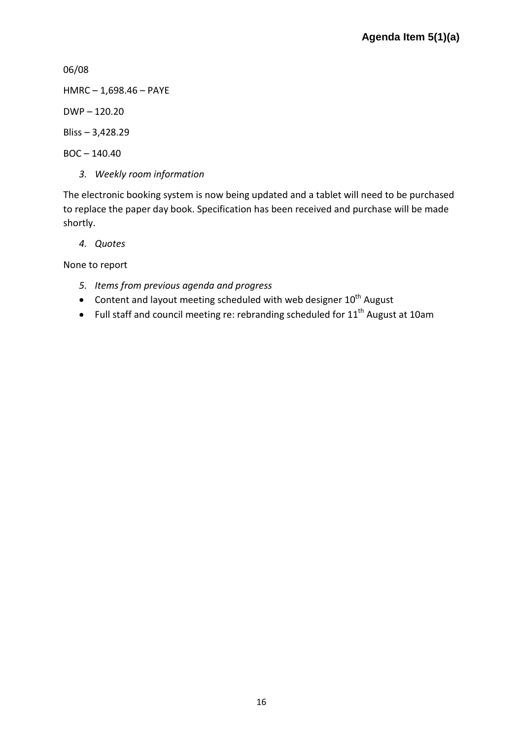06/08

HMRC – 1,698.46 – PAYE

DWP – 120.20

Bliss – 3,428.29

 $BOC - 140.40$ 

*3. Weekly room information*

The electronic booking system is now being updated and a tablet will need to be purchased to replace the paper day book. Specification has been received and purchase will be made shortly.

*4. Quotes*

None to report

- *5. Items from previous agenda and progress*
- Content and layout meeting scheduled with web designer  $10^{th}$  August
- Full staff and council meeting re: rebranding scheduled for  $11<sup>th</sup>$  August at 10am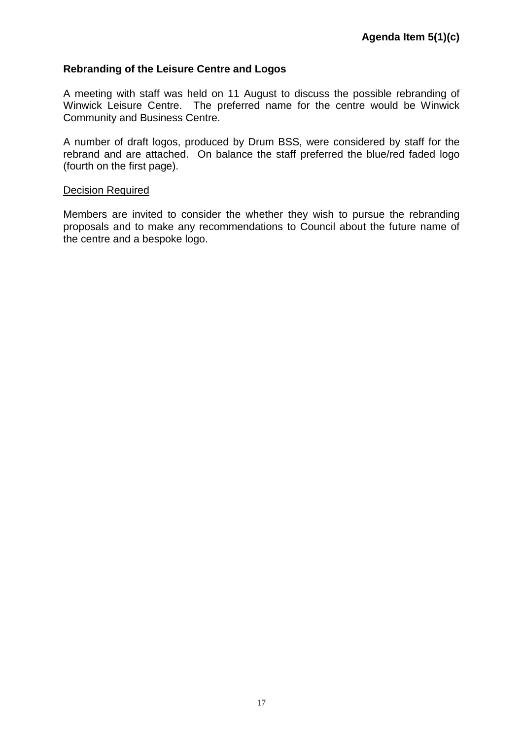#### **Rebranding of the Leisure Centre and Logos**

A meeting with staff was held on 11 August to discuss the possible rebranding of Winwick Leisure Centre. The preferred name for the centre would be Winwick Community and Business Centre.

A number of draft logos, produced by Drum BSS, were considered by staff for the rebrand and are attached. On balance the staff preferred the blue/red faded logo (fourth on the first page).

#### Decision Required

Members are invited to consider the whether they wish to pursue the rebranding proposals and to make any recommendations to Council about the future name of the centre and a bespoke logo.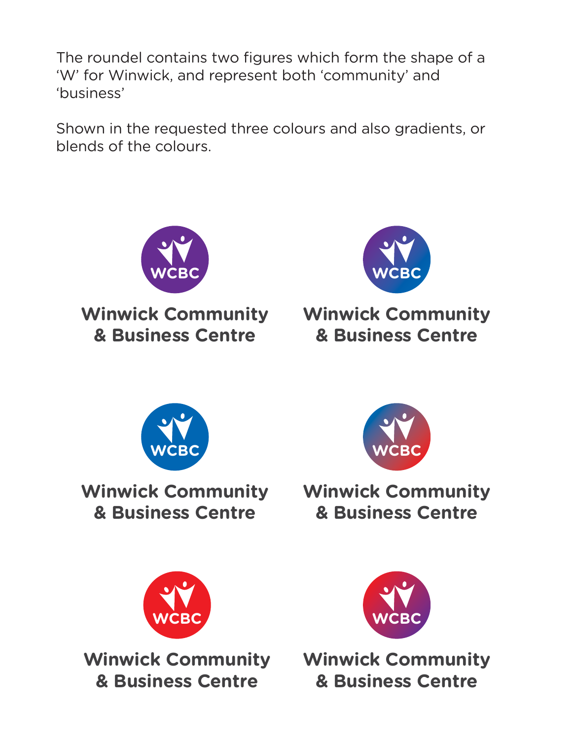The roundel contains two figures which form the shape of a 'W' for Winwick, and represent both 'community' and 'business'

Shown in the requested three colours and also gradients, or blends of the colours.



**Winwick Community Winwick Community & Business Centre**



## **& Business Centre**



**Winwick Community Winwick Community & Business Centre**



**& Business Centre**



**Winwick Community Winwick Community & Business Centre**



**& Business Centre**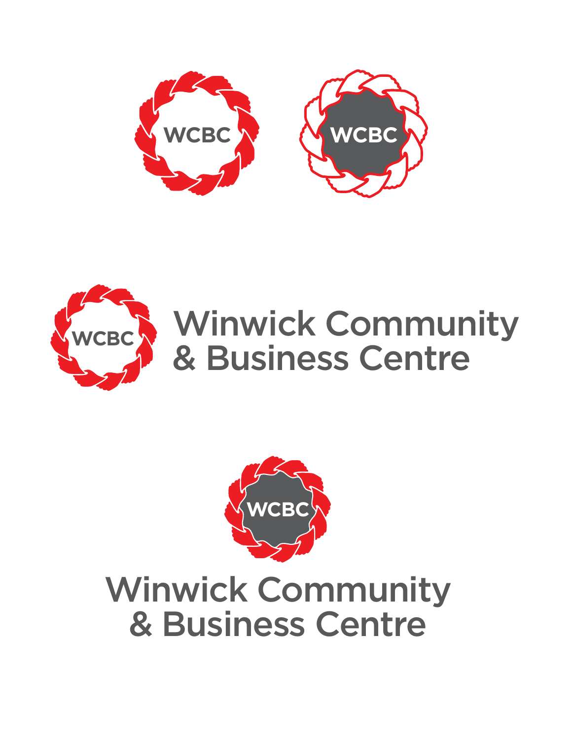





### Winwick Community & Business Centre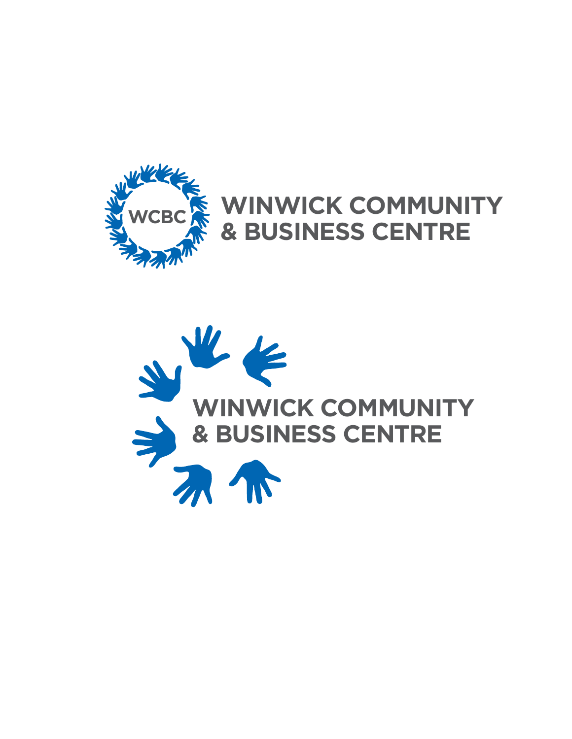

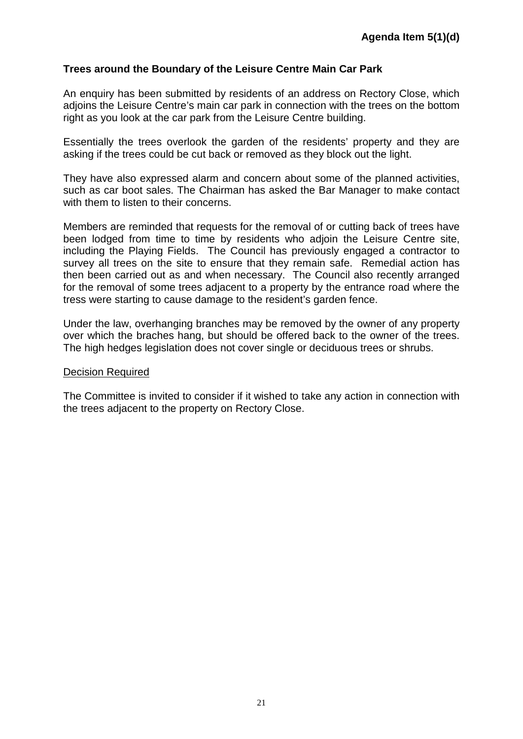#### **Trees around the Boundary of the Leisure Centre Main Car Park**

An enquiry has been submitted by residents of an address on Rectory Close, which adjoins the Leisure Centre's main car park in connection with the trees on the bottom right as you look at the car park from the Leisure Centre building.

Essentially the trees overlook the garden of the residents' property and they are asking if the trees could be cut back or removed as they block out the light.

They have also expressed alarm and concern about some of the planned activities, such as car boot sales. The Chairman has asked the Bar Manager to make contact with them to listen to their concerns.

Members are reminded that requests for the removal of or cutting back of trees have been lodged from time to time by residents who adjoin the Leisure Centre site, including the Playing Fields. The Council has previously engaged a contractor to survey all trees on the site to ensure that they remain safe. Remedial action has then been carried out as and when necessary. The Council also recently arranged for the removal of some trees adjacent to a property by the entrance road where the tress were starting to cause damage to the resident's garden fence.

Under the law, overhanging branches may be removed by the owner of any property over which the braches hang, but should be offered back to the owner of the trees. The high hedges legislation does not cover single or deciduous trees or shrubs.

#### Decision Required

The Committee is invited to consider if it wished to take any action in connection with the trees adjacent to the property on Rectory Close.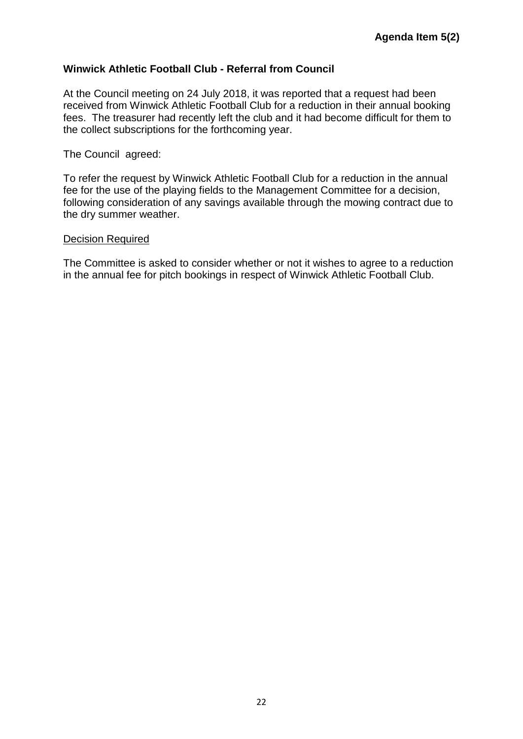#### **Winwick Athletic Football Club - Referral from Council**

At the Council meeting on 24 July 2018, it was reported that a request had been received from Winwick Athletic Football Club for a reduction in their annual booking fees. The treasurer had recently left the club and it had become difficult for them to the collect subscriptions for the forthcoming year.

#### The Council agreed:

To refer the request by Winwick Athletic Football Club for a reduction in the annual fee for the use of the playing fields to the Management Committee for a decision, following consideration of any savings available through the mowing contract due to the dry summer weather.

#### Decision Required

The Committee is asked to consider whether or not it wishes to agree to a reduction in the annual fee for pitch bookings in respect of Winwick Athletic Football Club.